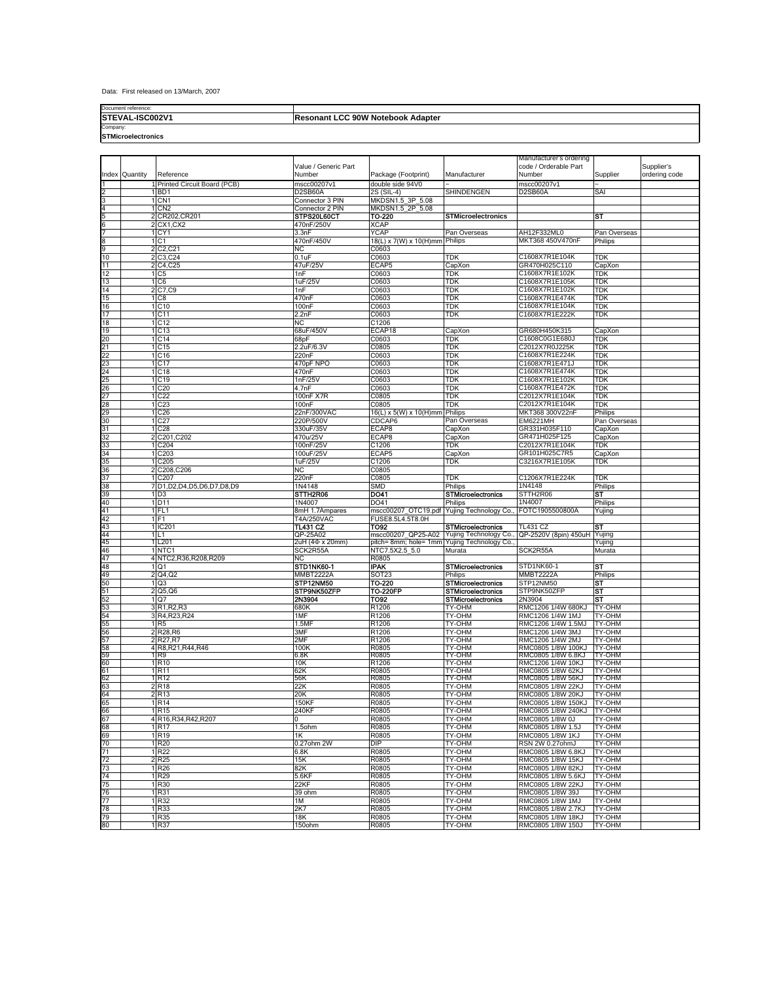Data: First released on 13/March, 2007

**STEVAL-ISC002V1** Document reference:

## **Resonant LCC 90W Notebook Adapter**

Company: **STMicroelectronics**

|          |          |                                          |                                |                                                                    |                                                        | Manufacturer's ordering                 |                         |                             |
|----------|----------|------------------------------------------|--------------------------------|--------------------------------------------------------------------|--------------------------------------------------------|-----------------------------------------|-------------------------|-----------------------------|
| Index    | Quantity | Reference                                | Value / Generic Part<br>Number | Package (Footprint)                                                | Manufacturer                                           | code / Orderable Part<br>Number         | Supplier                | Supplier's<br>ordering code |
|          |          | Printed Circuit Board (PCB)              | mscc00207v1                    | double side 94V0                                                   |                                                        | mscc00207v1                             |                         |                             |
|          |          | B <sub>D</sub> 1                         | D2SB60A                        | 2S (SIL-4)                                                         | SHINDENGEN                                             | D2SB60A                                 | SAI                     |                             |
|          |          | 1 CN1                                    | Connector 3 PIN                | MKDSN1.5_3P_5.08                                                   |                                                        |                                         |                         |                             |
|          |          | 1 CN <sub>2</sub>                        | Connector 2 PIN                | MKDSN1.5_2P_5.08                                                   |                                                        |                                         |                         |                             |
| 6        |          | 2 CR202, CR201<br>$2$ CX1, CX2           | STPS20L60CT<br>470nF/250V      | TO-220<br><b>XCAP</b>                                              | <b>STMicroelectronics</b>                              |                                         | SТ                      |                             |
|          |          | 1 <sub>CY1</sub>                         | 3.3nF                          | <b>YCAP</b>                                                        | Pan Overseas                                           | AH12F332ML0                             | Pan Overseas            |                             |
| 8        |          | 1 C1                                     | 470nF/450V                     | 18(L) x 7(W) x 10(H)mm Philips                                     |                                                        | MKT368 450V470nF                        | Philips                 |                             |
| 9        |          | 2 C <sub>2</sub> , C <sub>2</sub> 1      | NC                             | C0603                                                              |                                                        |                                         |                         |                             |
| 10       |          | 2 C3, C24                                | 0.1uF                          | C0603                                                              | TDK                                                    | C1608X7R1E104K                          | TDK                     |                             |
| 11<br>12 |          | 2 C4, C25<br>1 C5                        | 47uF/25V<br>1nF                | ECAP5<br>C0603                                                     | CapXon<br>TDK                                          | GR470H025C110<br>C1608X7R1E102K         | CapXon<br>TDK           |                             |
| 13       |          | 1 C6                                     | 1uF/25V                        | C0603                                                              | TDK                                                    | C1608X7R1E105K                          | TDK                     |                             |
| 14       |          | 2 C7.C9                                  | 1nF                            | C0603                                                              | TDK                                                    | C1608X7R1E102K                          | TDK                     |                             |
| 15       |          | $1 \overline{\text{C8}}$                 | 470nF                          | C0603                                                              | TDK                                                    | C1608X7R1E474K                          | TDK                     |                             |
| 16       |          | 1 C <sub>10</sub>                        | 100 <sub>n</sub> F             | C0603                                                              | TDK                                                    | C1608X7R1E104K                          | TDK                     |                             |
| 17       |          | 1 C <sub>11</sub>                        | 2.2nF                          | C0603                                                              | TDK                                                    | C1608X7R1E222K                          | TDK                     |                             |
| 18<br>19 |          | 1 C12<br>1 C <sub>13</sub>               | NC.<br>68uF/450V               | C1206<br>ECAP18                                                    | CapXon                                                 | GR680H450K315                           | CapXon                  |                             |
| 20       |          | 1 C <sub>14</sub>                        | 68pF                           | C0603                                                              | TDK                                                    | C1608C0G1E680J                          | TDK                     |                             |
| 21       |          | 1 C15                                    | 2.2uF/6.3V                     | C0805                                                              | TDK                                                    | C2012X7R0J225K                          | TDK                     |                             |
| 22       |          | 1 C <sub>16</sub>                        | 220nF                          | C0603                                                              | TDK                                                    | C1608X7R1E224K                          | TDK                     |                             |
| 23       |          | 1 C17                                    | 470pF NPO                      | C0603                                                              | TDK                                                    | C1608X7R1E471J                          | TDK                     |                             |
| 24       |          | 1 C <sub>18</sub>                        | 470nF                          | C0603                                                              | TDK                                                    | C1608X7R1E474K                          | TDK                     |                             |
| 25<br>26 |          | 1 C <sub>19</sub><br>1 C <sub>20</sub>   | 1nF/25V<br>4.7nF               | C0603<br>C0603                                                     | TDK<br>TDK                                             | C1608X7R1E102K<br>C1608X7R1E472K        | TDK<br>TDK              |                             |
| 27       |          | 1 C <sub>22</sub>                        | 100nF X7R                      | C0805                                                              | TDK                                                    | C2012X7R1E104K                          | TDK                     |                             |
| 28       |          | 1 C23                                    | 100 <sub>n</sub> F             | C0805                                                              | TDK                                                    | C2012X7R1E104K                          | TDK                     |                             |
| 29       |          | 1 C <sub>26</sub>                        | 22nF/300VAC                    | 16(L) x 5(W) x 10(H)mm Philips                                     |                                                        | MKT368 300V22nF                         | Philips                 |                             |
| 30       |          | 1 C <sub>27</sub>                        | 220P/500V                      | CDCAP6                                                             | Pan Overseas                                           | <b>EM6221MH</b>                         | Pan Overseas            |                             |
| 31<br>32 |          | $1$ C <sub>28</sub>                      | 330uF/35V<br>470u/25V          | ECAP8<br>ECAP8                                                     | CapXon                                                 | GR331H035F110<br>GR471H025F125          | CapXon<br>CapXon        |                             |
| 33       |          | 2 C201, C202<br>1 C204                   | 100nF/25V                      | C1206                                                              | CapXon<br>TDK                                          | C2012X7R1E104K                          | TDK                     |                             |
| 34       |          | 1 C <sub>203</sub>                       | 100uF/25V                      | ECAP5                                                              | CapXon                                                 | GR101H025C7R5                           | CapXon                  |                             |
| 35       |          | 1 C <sub>205</sub>                       | 1uF/25V                        | C1206                                                              | TDK                                                    | C3216X7R1E105K                          | TDK                     |                             |
| 36       |          | 2 C208, C206                             | <b>NC</b>                      | C0805                                                              |                                                        |                                         |                         |                             |
| 37       |          | 1 C <sub>20</sub>                        | 220nF                          | C0805                                                              | TDK                                                    | C1206X7R1E224K                          | TDK                     |                             |
| 38<br>39 |          | 7 D1, D2, D4, D5, D6, D7, D8, D9<br>1 D3 | 1N4148<br>STTH2R06             | <b>SMD</b><br>DO41                                                 | Philips<br><b>STMicroelectronics</b>                   | 1N4148<br>STTH2R06                      | Philips<br>ST           |                             |
| 40       |          | 1D <sub>11</sub>                         | 1N4007                         | DO41                                                               | Philips                                                | 1N4007                                  | Philips                 |                             |
| 41       |          | 1FL1                                     | 8mH 1.7Ampares                 | mscc00207_OTC19.pdf Yujing Technology Co.                          |                                                        | FOTC1905500800A                         | Yujing                  |                             |
| 42       |          | 1 F1                                     | <b>T4A/250VAC</b>              | FUSE8.5L4.5T8.0H                                                   |                                                        |                                         |                         |                             |
| 43       |          | 1 IC201                                  | <b>TL431 CZ</b>                | <b>TO92</b>                                                        | <b>STMicroelectronics</b>                              | TL431 CZ                                | SТ                      |                             |
| 44<br>45 |          | 1 L T<br>1 L <sub>201</sub>              | QP-25A02<br>2uH (4Ф x 20mm)    | mscc00207_QP25-A02<br>pitch= 8mm; hole= 1mm Yujing Technology Co., | Yujing Technology Co.,                                 | QP-2520V (8pin) 450uH                   | Yujing<br>Yujing        |                             |
| 46       |          | 1NTC1                                    | SCK2R55A                       | NTC7.5X2.5_5.0                                                     | Murata                                                 | SCK2R55A                                | Murata                  |                             |
| 47       |          | 4 NTC2,R36,R208,R209                     | <b>NC</b>                      | R0805                                                              |                                                        |                                         |                         |                             |
| 48       |          | 1 Q1                                     | STD1NK60-1                     | <b>IPAK</b>                                                        | <b>STMicroelectronics</b>                              | STD1NK60-1                              | SΤ                      |                             |
| 49       |          | 2 Q4, Q2                                 | MMBT2222A                      | SOT <sub>23</sub>                                                  | Philips                                                | MMBT2222A                               | Philips                 |                             |
| 50<br>51 |          | 1 Q3<br>2 Q5, Q6                         | STP12NM50<br>STP9NK50ZFP       | TO-220<br><b>TO-220FP</b>                                          | <b>STMicroelectronics</b><br><b>STMicroelectronics</b> | STP12NM50<br>STP9NK50ZFP                | SТ<br>SТ                |                             |
| 52       |          | 1 Q7                                     | 2N3904                         | <b>TO92</b>                                                        | <b>STMicroelectronics</b>                              | 2N3904                                  | ST                      |                             |
| 53       |          | 3 R1, R2, R3                             | 680K                           | R1206                                                              | TY-OHM                                                 | RMC1206 1/4W 680KJ                      | TY-OHM                  |                             |
| 54       |          | 3 R4, R23, R24                           | 1MF                            | R1206                                                              | TY-OHM                                                 | RMC1206 1/4W 1MJ                        | TY-OHM                  |                             |
| 55       |          | 1 R <sub>5</sub>                         | 1.5M                           | R1206                                                              | TY-OHM                                                 | RMC1206 1/4W 1.5MJ                      | TY-OHM                  |                             |
| 56<br>57 |          | 2 R28, R6<br>2 R27, R7                   | 3MF<br>2MF                     | R1206                                                              | TY-OHM                                                 | RMC1206 1/4W 3MJ<br>RMC1206 1/4W 2MJ    | <b>TY-OHM</b><br>TY-OHM |                             |
| 58       |          | 4 R8, R21, R44, R46                      | 100 <sub>k</sub>               | R1206<br>R0805                                                     | TY-OHM<br>TY-OHM                                       | RMC0805 1/8W 100KJ                      | TY-OHM                  |                             |
| 59       |          | 1 R <sub>9</sub>                         | 6.8K                           | R0805                                                              | TY-OHM                                                 | RMC0805 1/8W 6.8KJ                      | TY-OHM                  |                             |
| 60       |          | 1R10                                     | 10K                            | R1206                                                              | TY-OHM                                                 | RMC1206 1/4W 10KJ                       | <b>TY-OHM</b>           |                             |
| 61<br>62 |          | 1 R <sub>11</sub><br>1R12                | 62K<br>56K                     | R0805<br>R0805                                                     | TY-OHM<br>TY-OHM                                       | RMC0805 1/8W 62KJ<br>RMC0805 1/8W 56KJ  | TY-OHM<br>TY-OHM        |                             |
| 63       |          | 2R18                                     | 22K                            | R0805                                                              | TY-OHM                                                 | RMC0805 1/8W 22KJ                       | TY-OHM                  |                             |
| 64       |          | 2R13                                     | 20K                            | R0805                                                              | TY-OHM                                                 | RMC0805 1/8W 20KJ                       | TY-OHM                  |                             |
| 65       |          | 1R <sub>14</sub>                         | <b>150KF</b>                   | R0805                                                              | TY-OHM                                                 | RMC0805 1/8W 150KJ                      | <b>TY-OHM</b>           |                             |
| 66<br>67 |          | R <sub>15</sub>                          | 240KF                          | R0805                                                              | TY-OHM                                                 | RMC0805 1/8W 240KJ                      | TY-OHM                  |                             |
| 68       |          | 4 R16, R34, R42, R207<br>1R17            | 0<br>1.5ohm                    | R0805<br>R0805                                                     | TY-OHM<br>TY-OHM                                       | RMC0805 1/8W 0J<br>RMC0805 1/8W 1.5J    | <b>TY-OHM</b><br>TY-OHM |                             |
| 69       |          | 1R <sub>19</sub>                         | 1K                             | R0805                                                              | <b>TY-OHM</b>                                          | RMC0805 1/8W 1KJ                        | TY-OHM                  |                             |
| 70       |          | 1R20                                     | 0.27ohm 2W                     | <b>DIP</b>                                                         | TY-OHM                                                 | RSN 2W 0.27ohmJ                         | TY-OHM                  |                             |
| 71       |          | 1 <sub>R22</sub>                         | 6.8K                           | R0805                                                              | TY-OHM                                                 | RMC0805 1/8W 6.8KJ                      | TY-OHM                  |                             |
| 72       |          | 2 R <sub>25</sub>                        | 15K                            | R0805                                                              | TY-OHM                                                 | RMC0805 1/8W 15KJ                       | <b>TY-OHM</b>           |                             |
| 73<br>74 |          | 1R26<br>1R29                             | 82K                            | R0805                                                              | TY-OHM<br><b>TY-OHM</b>                                | RMC0805 1/8W 82KJ                       | TY-OHM                  |                             |
| 75       |          | 1R30                                     | 5.6KF<br>22KF                  | R0805<br>R0805                                                     | TY-OHM                                                 | RMC0805 1/8W 5.6KJ<br>RMC0805 1/8W 22KJ | TY-OHM<br>TY-OHM        |                             |
| 76       |          | 1 R31                                    | 39 ohm                         | R0805                                                              | TY-OHM                                                 | RMC0805 1/8W 39J                        | TY-OHM                  |                             |
| 77       |          | 1R32                                     | 1M                             | R0805                                                              | TY-OHM                                                 | RMC0805 1/8W 1MJ                        | TY-OHM                  |                             |
| 78       |          | 1 R33                                    | 2K7                            | R0805                                                              | TY-OHM                                                 | RMC0805 1/8W 2.7KJ                      | TY-OHM                  |                             |
| 79       |          | 1 R35                                    | 18K                            | R0805                                                              | TY-OHM                                                 | RMC0805 1/8W 18KJ                       | <b>TY-OHM</b>           |                             |
| 80       |          | 1R37                                     | 150ohm                         | R0805                                                              | TY-OHM                                                 | RMC0805 1/8W 150J                       | <b>TY-OHM</b>           |                             |